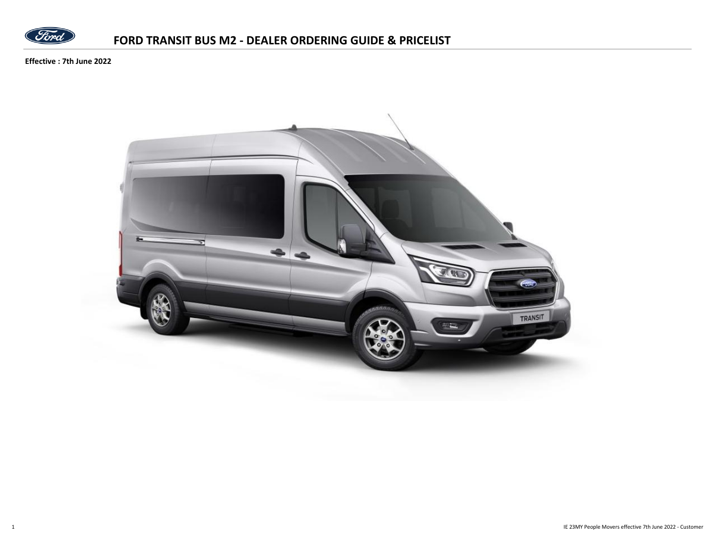

**Effective : 7th June 2022**

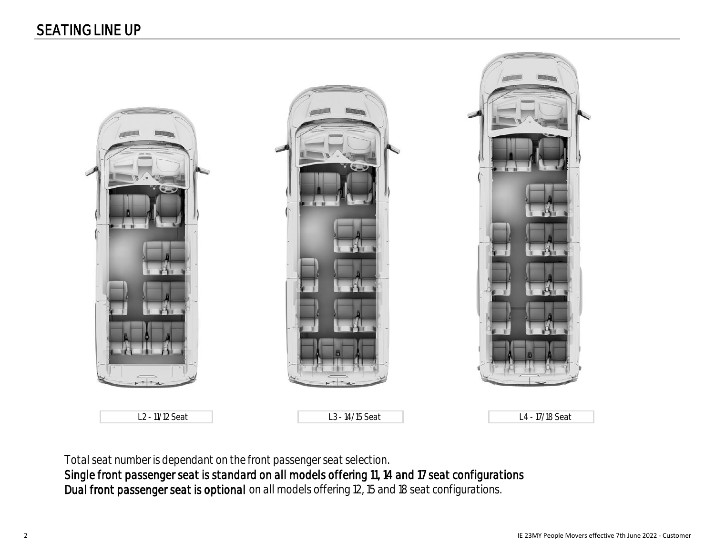

L2 - 11/12 Seat L3 - 14/15 Seat L4 - 17/18 Seat

Total seat number is dependant on the front passenger seat selection.

Single front passenger seat is standard on all models offering 11, 14 and 17 seat configurations Dual front passenger seat is optional on all models offering 12, 15 and 18 seat configurations.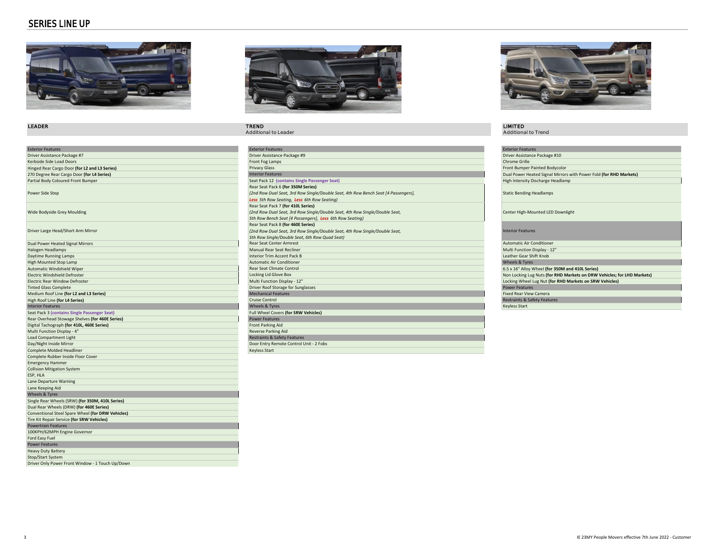#### SERIES LINE UP



| <b>Exterior Features</b>                                              | <b>Exterior Features</b>                |
|-----------------------------------------------------------------------|-----------------------------------------|
| Driver Assistance Package #7                                          | Driver Assistance Package #9            |
| Kerbside Side Load Doors                                              | Front Fog Lamps                         |
| Hinged Rear Cargo Door (for L2 and L3 Series)                         | <b>Privacy Glass</b>                    |
| 270 Degree Rear Cargo Door (for L4 Series)                            | <b>Interior Features</b>                |
| Partial Body Coloured Front Bumper                                    | Seat Pack 12 (contains Single Passenge  |
|                                                                       | Rear Seat Pack 6 (for 350M Series)      |
| Power Side Step                                                       | (2nd Row Dual Seat, 3rd Row Single/Dou  |
|                                                                       | Less 5th Row Seating, Less 6th Row Sec  |
|                                                                       | Rear Seat Pack 7 (for 410L Series)      |
| Wide Bodyside Grey Moulding                                           | (2nd Row Dual Seat, 3rd Row Single/Dou  |
|                                                                       | 5th Row Bench Seat [4 Passengers], Les. |
|                                                                       | Rear Seat Pack 8 (for 460E Series)      |
| Driver Large Head/Short Arm Mirror                                    | (2nd Row Dual Seat, 3rd Row Single/Dou  |
|                                                                       | 5th Row Single/Double Seat, 6th Row Qu  |
| Dual Power Heated Signal Mirrors                                      | Rear Seat Center Armrest                |
| Halogen Headlamps                                                     | <b>Manual Rear Seat Recliner</b>        |
| Daytime Running Lamps                                                 | <b>Interior Trim Accent Pack B</b>      |
| High Mounted Stop Lamp                                                | <b>Automatic Air Conditioner</b>        |
| Automatic Windshield Wiper                                            | <b>Rear Seat Climate Control</b>        |
| Electric Windshield Defroster                                         | Locking Lid Glove Box                   |
| <b>Electric Rear Window Defroster</b>                                 | Multi Function Display - 12"            |
| <b>Tinted Glass Complete</b>                                          | Driver Roof Storage for Sunglasses      |
| Medium Roof Line (for L2 and L3 Series)                               | <b>Mechanical Features</b>              |
| High Roof Line (for L4 Series)                                        | Cruise Control                          |
| <b>Interior Features</b>                                              | <b>Wheels &amp; Tyres</b>               |
| Seat Pack 3 (contains Single Passenger Seat)                          | Full Wheel Covers (for SRW Vehicles)    |
| Rear Overhead Stowage Shelves (for 460E Series)                       | <b>Power Features</b>                   |
| Digital Tachograph (for 410L, 460E Series)                            |                                         |
|                                                                       | <b>Front Parking Aid</b>                |
|                                                                       |                                         |
| Multi Function Display - 4"                                           | Reverse Parking Aid                     |
| <b>Load Compartment Light</b>                                         | Restraints & Safety Features            |
| Day/Night Inside Mirror                                               | Door Entry Remote Control Unit - 2 Fobs |
| Complete Molded Headliner                                             | <b>Keyless Start</b>                    |
| Complete Rubber Inside Floor Cover                                    |                                         |
| <b>Emergency Hammer</b>                                               |                                         |
| <b>Collision Mitigation System</b>                                    |                                         |
| ESP, HLA                                                              |                                         |
| Lane Departure Warning                                                |                                         |
| Lane Keeping Aid                                                      |                                         |
| Wheels & Tyres                                                        |                                         |
| Single Rear Wheels (SRW) (for 350M, 410L Series)                      |                                         |
| Dual Rear Wheels (DRW) (for 460E Series)                              |                                         |
| Conventional Steel Spare Wheel (for DRW Vehicles)                     |                                         |
| Tire Kit Repair Service (for SRW Vehicles)                            |                                         |
| <b>Powertrain Features</b>                                            |                                         |
| 100KPH/62MPH Engine Governor                                          |                                         |
| Ford Easy Fuel                                                        |                                         |
| <b>Power Features</b>                                                 |                                         |
| <b>Heavy Duty Battery</b>                                             |                                         |
| Stop/Start System<br>Driver Only Power Front Window - 1 Touch Up/Down |                                         |



## LEADER TREND LIMITED

| <b>Exterior Features</b>                        | <b>Exterior Features</b>                                                           | <b>Exterior Features</b>                                                |
|-------------------------------------------------|------------------------------------------------------------------------------------|-------------------------------------------------------------------------|
| Driver Assistance Package #7                    | Driver Assistance Package #9                                                       | Driver Assistance Package #10                                           |
| Kerbside Side Load Doors                        | Front Fog Lamps                                                                    | Chrome Grille                                                           |
| Hinged Rear Cargo Door (for L2 and L3 Series)   | <b>Privacy Glass</b>                                                               | Front Bumper Painted Bodycolor                                          |
| 270 Degree Rear Cargo Door (for L4 Series)      | <b>Interior Features</b>                                                           | Dual Power Heated Signal Mirrors with Power Fold (for RHD Markets)      |
| Partial Body Coloured Front Bumper              | Seat Pack 12 (contains Single Passenger Seat)                                      | High Intensity Discharge Headlamp                                       |
|                                                 | Rear Seat Pack 6 (for 350M Series)                                                 |                                                                         |
| Power Side Step                                 | (2nd Row Dual Seat, 3rd Row Single/Double Seat, 4th Row Bench Seat [4 Passengers], | <b>Static Bending Headlamps</b>                                         |
|                                                 | Less 5th Row Seating, Less 6th Row Seating)                                        |                                                                         |
|                                                 | Rear Seat Pack 7 (for 410L Series)                                                 |                                                                         |
| Wide Bodyside Grey Moulding                     | (2nd Row Dual Seat, 3rd Row Single/Double Seat, 4th Row Single/Double Seat,        | Center High-Mounted LED Downlight                                       |
|                                                 | 5th Row Bench Seat [4 Passengers], Less 6th Row Seating)                           |                                                                         |
|                                                 | Rear Seat Pack 8 (for 460E Series)                                                 |                                                                         |
| Driver Large Head/Short Arm Mirror              | (2nd Row Dual Seat, 3rd Row Single/Double Seat, 4th Row Single/Double Seat,        | <b>Interior Features</b>                                                |
|                                                 | 5th Row Single/Double Seat, 6th Row Quad Seat)                                     |                                                                         |
| Dual Power Heated Signal Mirrors                | <b>Rear Seat Center Armrest</b>                                                    | Automatic Air Conditioner                                               |
| Halogen Headlamps                               | <b>Manual Rear Seat Recliner</b>                                                   | Multi Function Display - 12"                                            |
| Daytime Running Lamps                           | <b>Interior Trim Accent Pack B</b>                                                 | Leather Gear Shift Knob                                                 |
| <b>High Mounted Stop Lamp</b>                   | Automatic Air Conditioner                                                          | Wheels & Tyres                                                          |
| Automatic Windshield Wiper                      | Rear Seat Climate Control                                                          | 6.5 x 16" Alloy Wheel (for 350M and 410L Series)                        |
| Electric Windshield Defroster                   | Locking Lid Glove Box                                                              | Non Locking Lug Nuts (for RHD Markets on DRW Vehicles; for LHD Markets) |
| Electric Rear Window Defroster                  | Multi Function Display - 12"                                                       | Locking Wheel Lug Nut (for RHD Markets on SRW Vehicles)                 |
| <b>Tinted Glass Complete</b>                    | Driver Roof Storage for Sunglasses                                                 | <b>Power Features</b>                                                   |
| Medium Roof Line (for L2 and L3 Series)         | Mechanical Features                                                                | <b>Fixed Rear View Camera</b>                                           |
| High Roof Line (for L4 Series)                  | <b>Cruise Control</b>                                                              | Restraints & Safety Features                                            |
| <b>Interior Features</b>                        | <b>Wheels &amp; Tyres</b>                                                          | <b>Keyless Start</b>                                                    |
| Seat Pack 3 (contains Single Passenger Seat)    | Full Wheel Covers (for SRW Vehicles)                                               |                                                                         |
| Rear Overhead Stowage Shelves (for 460E Series) | <b>Power Features</b>                                                              |                                                                         |
| Digital Tachograph (for 410L, 460E Series)      | Front Parking Aid                                                                  |                                                                         |
| Multi Function Display - 4"                     | <b>Reverse Parking Aid</b>                                                         |                                                                         |
| <b>Load Compartment Light</b>                   | Restraints & Safety Features                                                       |                                                                         |
| Day/Night Inside Mirror                         | Door Entry Remote Control Unit - 2 Fobs                                            |                                                                         |
| Complete Molded Headliner                       | <b>Keyless Start</b>                                                               |                                                                         |
|                                                 |                                                                                    |                                                                         |



# **LIMITED**<br>Additional to Trend

| <b>Exterior Features</b>                                                |
|-------------------------------------------------------------------------|
| Driver Assistance Package #10                                           |
| Chrome Grille                                                           |
| Front Bumper Painted Bodycolor                                          |
| Dual Power Heated Signal Mirrors with Power Fold (for RHD Markets)      |
| High Intensity Discharge Headlamp                                       |
| <b>Static Bending Headlamps</b>                                         |
| Center High-Mounted LED Downlight                                       |
| <b>Interior Features</b>                                                |
| <b>Automatic Air Conditioner</b>                                        |
| Multi Function Display - 12"                                            |
| Leather Gear Shift Knob                                                 |
| <b>Wheels &amp; Tyres</b>                                               |
| 6.5 x 16" Alloy Wheel (for 350M and 410L Series)                        |
| Non Locking Lug Nuts (for RHD Markets on DRW Vehicles; for LHD Markets) |
| Locking Wheel Lug Nut (for RHD Markets on SRW Vehicles)                 |
| <b>Power Features</b>                                                   |
| <b>Fixed Rear View Camera</b>                                           |
| Restraints & Safety Features                                            |
| Keyless Start                                                           |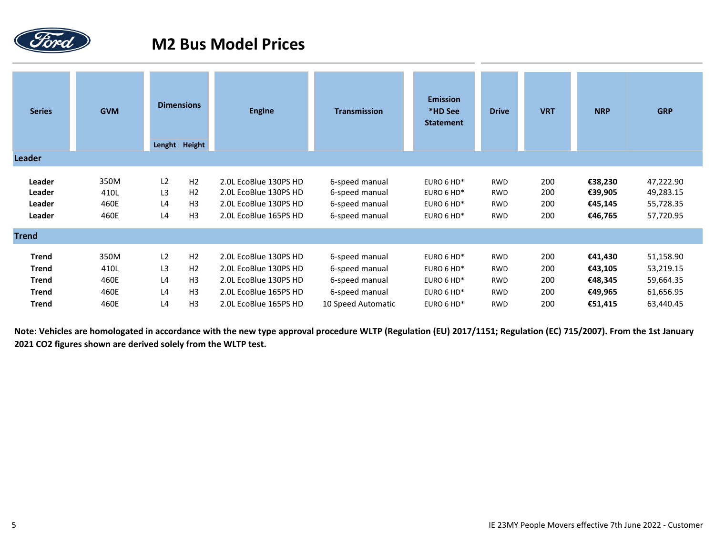

# **M2 Bus Model Prices**

| <b>Series</b> | <b>GVM</b> |                | <b>Dimensions</b><br>Lenght Height | <b>Engine</b>         | <b>Transmission</b> | <b>Emission</b><br>*HD See<br><b>Statement</b> | <b>Drive</b> | <b>VRT</b> | <b>NRP</b> | <b>GRP</b> |
|---------------|------------|----------------|------------------------------------|-----------------------|---------------------|------------------------------------------------|--------------|------------|------------|------------|
| Leader        |            |                |                                    |                       |                     |                                                |              |            |            |            |
| Leader        | 350M       | L <sub>2</sub> | H <sub>2</sub>                     | 2.0L EcoBlue 130PS HD | 6-speed manual      | EURO 6 HD*                                     | <b>RWD</b>   | 200        | €38,230    | 47,222.90  |
| Leader        | 410L       | L3             | H <sub>2</sub>                     | 2.0L EcoBlue 130PS HD | 6-speed manual      | EURO 6 HD*                                     | <b>RWD</b>   | 200        | €39,905    | 49,283.15  |
| Leader        | 460E       | L4             | H <sub>3</sub>                     | 2.0L EcoBlue 130PS HD | 6-speed manual      | EURO 6 HD*                                     | <b>RWD</b>   | 200        | €45,145    | 55,728.35  |
| Leader        | 460E       | L4             | H <sub>3</sub>                     | 2.0L EcoBlue 165PS HD | 6-speed manual      | EURO 6 HD*                                     | <b>RWD</b>   | 200        | €46,765    | 57,720.95  |
| <b>Trend</b>  |            |                |                                    |                       |                     |                                                |              |            |            |            |
| <b>Trend</b>  | 350M       | L2             | H <sub>2</sub>                     | 2.0L EcoBlue 130PS HD | 6-speed manual      | EURO 6 HD*                                     | <b>RWD</b>   | 200        | €41,430    | 51,158.90  |
| <b>Trend</b>  | 410L       | L3             | H <sub>2</sub>                     | 2.0L EcoBlue 130PS HD | 6-speed manual      | EURO 6 HD*                                     | <b>RWD</b>   | 200        | €43,105    | 53,219.15  |
| <b>Trend</b>  | 460E       | L4             | H <sub>3</sub>                     | 2.0L EcoBlue 130PS HD | 6-speed manual      | EURO 6 HD*                                     | <b>RWD</b>   | 200        | €48,345    | 59,664.35  |
| <b>Trend</b>  | 460E       | L4             | H <sub>3</sub>                     | 2.0L EcoBlue 165PS HD | 6-speed manual      | EURO 6 HD*                                     | <b>RWD</b>   | 200        | €49,965    | 61,656.95  |
| <b>Trend</b>  | 460E       | L4             | H <sub>3</sub>                     | 2.0L EcoBlue 165PS HD | 10 Speed Automatic  | EURO 6 HD*                                     | <b>RWD</b>   | 200        | €51,415    | 63,440.45  |

**Note: Vehicles are homologated in accordance with the new type approval procedure WLTP (Regulation (EU) 2017/1151; Regulation (EC) 715/2007). From the 1st January 2021 CO2 figures shown are derived solely from the WLTP test.**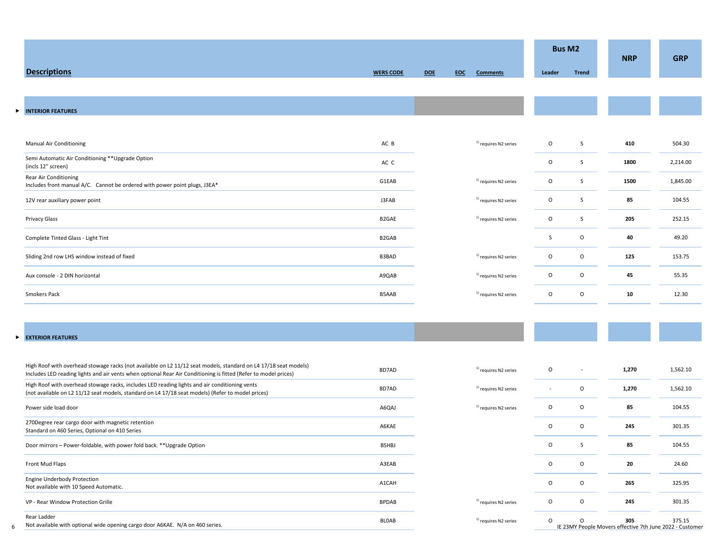|   |                                                                                                                                                                                                                                    |                    |            |            |                                  |                          | <b>Bus M2</b> | <b>NRP</b> | <b>GRP</b>                                                         |
|---|------------------------------------------------------------------------------------------------------------------------------------------------------------------------------------------------------------------------------------|--------------------|------------|------------|----------------------------------|--------------------------|---------------|------------|--------------------------------------------------------------------|
|   | <b>Descriptions</b>                                                                                                                                                                                                                | <b>WERS CODE</b>   | <b>DOE</b> | <b>EOC</b> | <b>Comments</b>                  | Leader                   | <b>Trend</b>  |            |                                                                    |
|   |                                                                                                                                                                                                                                    |                    |            |            |                                  |                          |               |            |                                                                    |
| ► | <b>INTERIOR FEATURES</b>                                                                                                                                                                                                           |                    |            |            |                                  |                          |               |            |                                                                    |
|   | Manual Air Conditioning                                                                                                                                                                                                            | AC B               |            |            | <sup>1)</sup> requires N2 series | $\circ$                  | S             | 410        | 504.30                                                             |
|   | Semi Automatic Air Conditioning ** Upgrade Option<br>(incls 12" screen)                                                                                                                                                            | AC C               |            |            |                                  | $\circ$                  | S             | 1800       | 2,214.00                                                           |
|   | Rear Air Conditioning<br>Includes front manual A/C. Cannot be ordered with power point plugs, J3EA*                                                                                                                                | G1EAB              |            |            | <sup>1)</sup> requires N2 series | $\circ$                  | S             | 1500       | 1,845.00                                                           |
|   | 12V rear auxiliary power point                                                                                                                                                                                                     | J3FAB              |            |            | <sup>1)</sup> requires N2 series | $\circ$                  | S             | 85         | 104.55                                                             |
|   | Privacy Glass                                                                                                                                                                                                                      | B <sub>2</sub> GAE |            |            | <sup>1)</sup> requires N2 series | $\circ$                  | S             | 205        | 252.15                                                             |
|   | Complete Tinted Glass - Light Tint                                                                                                                                                                                                 | B <sub>2</sub> GAB |            |            |                                  | S                        | $\mathsf O$   | 40         | 49.20                                                              |
|   | Sliding 2nd row LHS window instead of fixed                                                                                                                                                                                        | B3BAD              |            |            | <sup>1)</sup> requires N2 series | $\circ$                  | $\mathsf O$   | 125        | 153.75                                                             |
|   | Aux console - 2 DIN horizontal                                                                                                                                                                                                     | A9QAB              |            |            | <sup>1)</sup> requires N2 series | $\circ$                  | $\mathsf O$   | 45         | 55.35                                                              |
|   | Smokers Pack                                                                                                                                                                                                                       | B5AAB              |            |            | <sup>1)</sup> requires N2 series | $\circ$                  | $\mathsf O$   | 10         | 12.30                                                              |
|   |                                                                                                                                                                                                                                    |                    |            |            |                                  |                          |               |            |                                                                    |
|   | EXTERIOR FEATURES                                                                                                                                                                                                                  |                    |            |            |                                  |                          |               |            |                                                                    |
|   |                                                                                                                                                                                                                                    |                    |            |            |                                  |                          |               |            |                                                                    |
|   | High Roof with overhead stowage racks (not available on L2 11/12 seat models, standard on L4 17/18 seat models)<br>Includes LED reading lights and air vents when optional Rear Air Conditioning is fitted (Refer to model prices) | BD7AD              |            |            | <sup>1)</sup> requires N2 series | $\circ$                  |               | 1,270      | 1,562.10                                                           |
|   | High Roof with overhead stowage racks, includes LED reading lights and air conditioning vents<br>(not available on L2 11/12 seat models, standard on L4 17/18 seat models) (Refer to model prices)                                 | BD7AD              |            |            | <sup>1)</sup> requires N2 series | $\overline{\phantom{a}}$ | O             | 1,270      | 1,562.10                                                           |
|   | Power side load door                                                                                                                                                                                                               | A6QAJ              |            |            | <sup>1)</sup> requires N2 series | $\mathsf O$              | $\mathsf O$   | 85         | 104.55                                                             |
|   | 270Degree rear cargo door with magnetic retention<br>Standard on 460 Series, Optional on 410 Series                                                                                                                                | A6KAE              |            |            |                                  | $\circ$                  | $\mathsf O$   | 245        | 301.35                                                             |
|   | Door mirrors - Power-foldable, with power fold back. ** Upgrade Option                                                                                                                                                             | <b>BSHBJ</b>       |            |            |                                  | $\mathsf O$              | S             | 85         | 104.55                                                             |
|   | Front Mud Flaps                                                                                                                                                                                                                    | A3EAB              |            |            |                                  | $\mathsf O$              | $\mathsf O$   | 20         | 24.60                                                              |
|   | Engine Underbody Protection<br>Not available with 10 Speed Automatic.                                                                                                                                                              | A1CAH              |            |            |                                  | $\mathsf O$              | $\mathsf O$   | 265        | 325.95                                                             |
|   | VP - Rear Window Protection Grille                                                                                                                                                                                                 | <b>BPDAB</b>       |            |            | <sup>1)</sup> requires N2 series | $\mathsf O$              | $\mathsf O$   | 245        | 301.35                                                             |
|   | Rear Ladder<br>Not available with optional wide opening cargo door A6KAE. N/A on 460 series.                                                                                                                                       | BLOAB              |            |            | <sup>1)</sup> requires N2 series | $\circ$                  | 0             | 305        | 375.15<br>IE 23MY People Movers effective 7th June 2022 - Customer |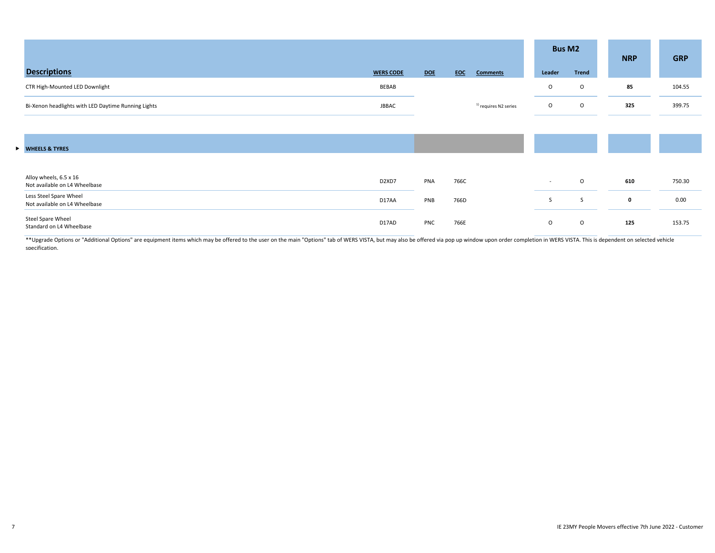|                                                         |                                |     |            |                                  |                          | <b>Bus M2</b> | <b>NRP</b>  | <b>GRP</b> |
|---------------------------------------------------------|--------------------------------|-----|------------|----------------------------------|--------------------------|---------------|-------------|------------|
| <b>Descriptions</b>                                     | <b>WERS CODE</b>               | DOE | <b>EOC</b> | <b>Comments</b>                  | Leader                   | <b>Trend</b>  |             |            |
| CTR High-Mounted LED Downlight                          | BEBAB                          |     |            |                                  | $\circ$                  | $\circ$       | 85          | 104.55     |
| Bi-Xenon headlights with LED Daytime Running Lights     | <b>JBBAC</b>                   |     |            | <sup>1)</sup> requires N2 series | $\circ$                  | $\circ$       | 325         | 399.75     |
|                                                         |                                |     |            |                                  |                          |               |             |            |
| WHEELS & TYRES                                          |                                |     |            |                                  |                          |               |             |            |
|                                                         |                                |     |            |                                  |                          |               |             |            |
| Alloy wheels, 6.5 x 16<br>Not available on L4 Wheelbase | D <sub>2</sub> XD <sub>7</sub> | PNA | 766C       |                                  | $\overline{\phantom{a}}$ | $\circ$       | 610         | 750.30     |
| Less Steel Spare Wheel<br>Not available on L4 Wheelbase | D17AA                          | PNB | 766D       |                                  | S                        | S             | $\mathbf 0$ | 0.00       |
| Steel Spare Wheel<br>Standard on L4 Wheelbase           | D17AD                          | PNC | 766E       |                                  | $\circ$                  | $\circ$       | 125         | 153.75     |

\*\* Upgrade Options or "Additional Options" are equipment items which may be offered to the user on the main "Options" tab of WERS VISTA, but may also be offered via pop up window upon order completion in WERS VISTA. This i specification.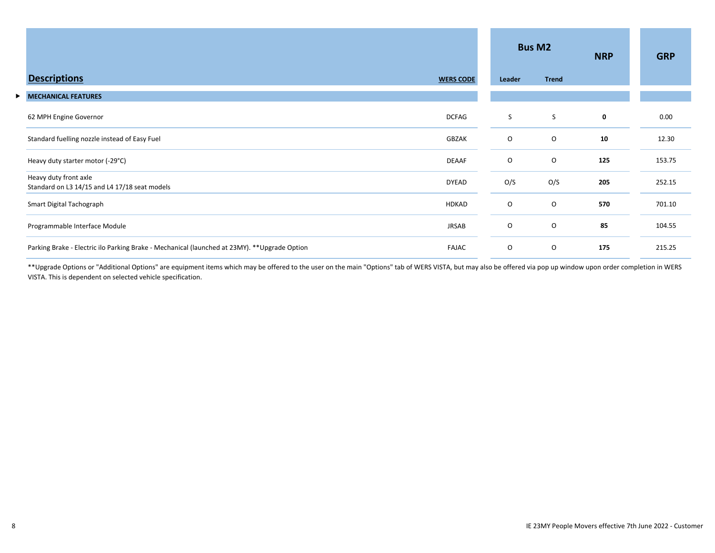|   |                                                                                               |                  |         | <b>Bus M2</b> | <b>NRP</b> | <b>GRP</b> |
|---|-----------------------------------------------------------------------------------------------|------------------|---------|---------------|------------|------------|
|   | <b>Descriptions</b>                                                                           | <b>WERS CODE</b> | Leader  | <b>Trend</b>  |            |            |
| ▶ | <b>MECHANICAL FEATURES</b>                                                                    |                  |         |               |            |            |
|   | 62 MPH Engine Governor                                                                        | <b>DCFAG</b>     | S       | S             | 0          | 0.00       |
|   | Standard fuelling nozzle instead of Easy Fuel                                                 | GBZAK            | $\circ$ | O             | 10         | 12.30      |
|   | Heavy duty starter motor (-29°C)                                                              | <b>DEAAF</b>     | O       | O             | 125        | 153.75     |
|   | Heavy duty front axle<br>Standard on L3 14/15 and L4 17/18 seat models                        | <b>DYEAD</b>     | O/S     | O/S           | 205        | 252.15     |
|   | Smart Digital Tachograph                                                                      | <b>HDKAD</b>     | $\circ$ | 0             | 570        | 701.10     |
|   | Programmable Interface Module                                                                 | <b>JRSAB</b>     | $\circ$ | O             | 85         | 104.55     |
|   | Parking Brake - Electric ilo Parking Brake - Mechanical (launched at 23MY). ** Upgrade Option | <b>FAJAC</b>     | $\circ$ | O             | 175        | 215.25     |

\*\*Upgrade Options or "Additional Options" are equipment items which may be offered to the user on the main "Options" tab of WERS VISTA, but may also be offered via pop up window upon order completion in WERS VISTA. This is dependent on selected vehicle specification.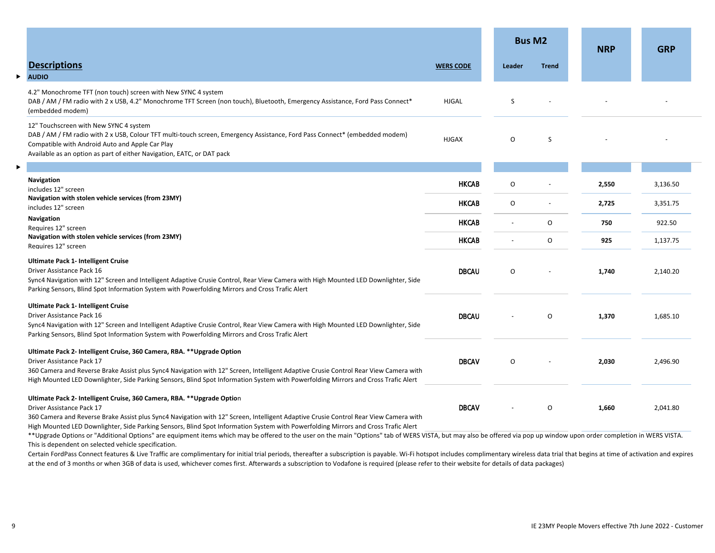|   |                                                                                                                                                                                                                                                                                                                                                                                    |                  | <b>Bus M2</b> |              | <b>NRP</b> | <b>GRP</b> |
|---|------------------------------------------------------------------------------------------------------------------------------------------------------------------------------------------------------------------------------------------------------------------------------------------------------------------------------------------------------------------------------------|------------------|---------------|--------------|------------|------------|
|   | <b>Descriptions</b>                                                                                                                                                                                                                                                                                                                                                                | <b>WERS CODE</b> | Leader        | <b>Trend</b> |            |            |
| ь | <b>AUDIO</b>                                                                                                                                                                                                                                                                                                                                                                       |                  |               |              |            |            |
|   | 4.2" Monochrome TFT (non touch) screen with New SYNC 4 system<br>DAB / AM / FM radio with 2 x USB, 4.2" Monochrome TFT Screen (non touch), Bluetooth, Emergency Assistance, Ford Pass Connect*<br>(embedded modem)                                                                                                                                                                 | <b>HJGAL</b>     | S             |              |            |            |
|   | 12" Touchscreen with New SYNC 4 system<br>DAB / AM / FM radio with 2 x USB, Colour TFT multi-touch screen, Emergency Assistance, Ford Pass Connect* (embedded modem)<br>Compatible with Android Auto and Apple Car Play<br>Available as an option as part of either Navigation, EATC, or DAT pack                                                                                  | <b>HJGAX</b>     | O             | S            |            |            |
|   |                                                                                                                                                                                                                                                                                                                                                                                    |                  |               |              |            |            |
|   | Navigation<br>includes 12" screen                                                                                                                                                                                                                                                                                                                                                  | <b>HKCAB</b>     | O             |              | 2,550      | 3,136.50   |
|   | Navigation with stolen vehicle services (from 23MY)<br>includes 12" screen                                                                                                                                                                                                                                                                                                         | <b>HKCAB</b>     | $\circ$       |              | 2,725      | 3,351.75   |
|   | <b>Navigation</b><br>Requires 12" screen                                                                                                                                                                                                                                                                                                                                           | <b>HKCAB</b>     |               | O            | 750        | 922.50     |
|   | Navigation with stolen vehicle services (from 23MY)<br>Requires 12" screen                                                                                                                                                                                                                                                                                                         | <b>HKCAB</b>     |               | 0            | 925        | 1,137.75   |
|   | <b>Ultimate Pack 1- Intelligent Cruise</b><br>Driver Assistance Pack 16<br>Sync4 Navigation with 12" Screen and Intelligent Adaptive Crusie Control, Rear View Camera with High Mounted LED Downlighter, Side<br>Parking Sensors, Blind Spot Information System with Powerfolding Mirrors and Cross Trafic Alert                                                                   | <b>DBCAU</b>     | O             |              | 1,740      | 2,140.20   |
|   | <b>Ultimate Pack 1- Intelligent Cruise</b><br>Driver Assistance Pack 16<br>Sync4 Navigation with 12" Screen and Intelligent Adaptive Crusie Control, Rear View Camera with High Mounted LED Downlighter, Side<br>Parking Sensors, Blind Spot Information System with Powerfolding Mirrors and Cross Trafic Alert                                                                   | <b>DBCAU</b>     |               | O            | 1,370      | 1,685.10   |
|   | Ultimate Pack 2- Intelligent Cruise, 360 Camera, RBA. ** Upgrade Option<br>Driver Assistance Pack 17<br>360 Camera and Reverse Brake Assist plus Sync4 Navigation with 12" Screen, Intelligent Adaptive Crusie Control Rear View Camera with<br>High Mounted LED Downlighter, Side Parking Sensors, Blind Spot Information System with Powerfolding Mirrors and Cross Trafic Alert | <b>DBCAV</b>     | O             |              | 2,030      | 2,496.90   |
|   | Ultimate Pack 2- Intelligent Cruise, 360 Camera, RBA. ** Upgrade Option<br>Driver Assistance Pack 17<br>360 Camera and Reverse Brake Assist plus Sync4 Navigation with 12" Screen, Intelligent Adaptive Crusie Control Rear View Camera with<br>High Mounted LED Downlighter, Side Parking Sensors, Blind Spot Information System with Powerfolding Mirrors and Cross Trafic Alert | <b>DBCAV</b>     |               | 0            | 1,660      | 2,041.80   |

\*\*Upgrade Options or "Additional Options" are equipment items which may be offered to the user on the main "Options" tab of WERS VISTA, but may also be offered via pop up window upon order completion in WERS VISTA. This is dependent on selected vehicle specification.

Certain FordPass Connect features & Live Traffic are complimentary for initial trial periods, thereafter a subscription is payable. Wi-Fi hotspot includes complimentary wireless data trial that begins at time of activation at the end of 3 months or when 3GB of data is used, whichever comes first. Afterwards a subscription to Vodafone is required (please refer to their website for details of data packages)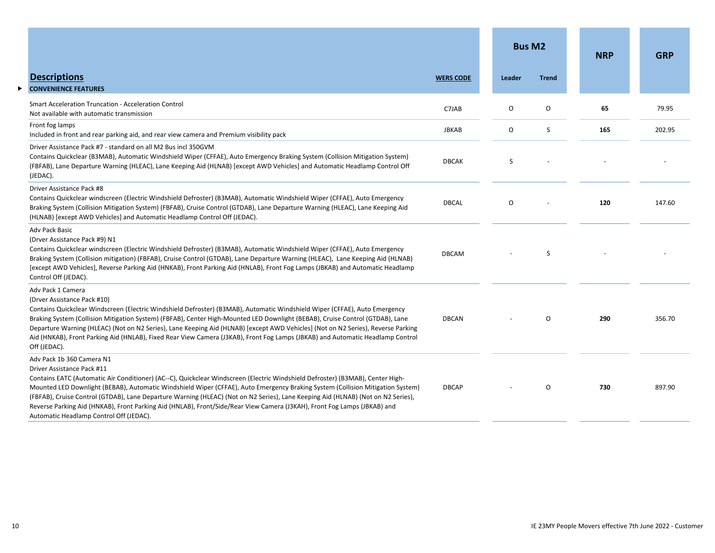|                                                                                                                                                                                                                                                                                                                                                                                                                                                                                                                                                                                                                                        |                  | <b>Bus M2</b> |              | <b>NRP</b> | <b>GRP</b> |
|----------------------------------------------------------------------------------------------------------------------------------------------------------------------------------------------------------------------------------------------------------------------------------------------------------------------------------------------------------------------------------------------------------------------------------------------------------------------------------------------------------------------------------------------------------------------------------------------------------------------------------------|------------------|---------------|--------------|------------|------------|
| <b>Descriptions</b><br><b>CONVENIENCE FEATURES</b><br>▶                                                                                                                                                                                                                                                                                                                                                                                                                                                                                                                                                                                | <b>WERS CODE</b> | Leader        | <b>Trend</b> |            |            |
| <b>Smart Acceleration Truncation - Acceleration Control</b><br>Not available with automatic transmission                                                                                                                                                                                                                                                                                                                                                                                                                                                                                                                               | C7JAB            | 0             | O            | 65         | 79.95      |
| Front fog lamps<br>Included in front and rear parking aid, and rear view camera and Premium visibility pack                                                                                                                                                                                                                                                                                                                                                                                                                                                                                                                            | <b>JBKAB</b>     | 0             | S            | 165        | 202.95     |
| Driver Assistance Pack #7 - standard on all M2 Bus incl 350GVM<br>Contains Quickclear (B3MAB), Automatic Windshield Wiper (CFFAE), Auto Emergency Braking System (Collision Mitigation System)<br>(FBFAB), Lane Departure Warning (HLEAC), Lane Keeping Aid (HLNAB) [except AWD Vehicles] and Automatic Headlamp Control Off<br>(JEDAC).                                                                                                                                                                                                                                                                                               | <b>DBCAK</b>     | S             |              |            |            |
| Driver Assistance Pack #8<br>Contains Quickclear windscreen (Electric Windshield Defroster) (B3MAB), Automatic Windshield Wiper (CFFAE), Auto Emergency<br>Braking System (Collision Mitigation System) (FBFAB), Cruise Control (GTDAB), Lane Departure Warning (HLEAC), Lane Keeping Aid<br>(HLNAB) [except AWD Vehicles] and Automatic Headlamp Control Off (JEDAC).                                                                                                                                                                                                                                                                 | <b>DBCAL</b>     | O             |              | 120        | 147.60     |
| Adv Pack Basic<br>(Drver Assistance Pack #9) N1<br>Contains Quickclear windscreen (Electric Windshield Defroster) (B3MAB), Automatic Windshield Wiper (CFFAE), Auto Emergency<br>Braking System (Collision mitigation) (FBFAB), Cruise Control (GTDAB), Lane Departure Warning (HLEAC), Lane Keeping Aid (HLNAB)<br>[except AWD Vehicles], Reverse Parking Aid (HNKAB), Front Parking Aid (HNLAB), Front Fog Lamps (JBKAB) and Automatic Headlamp<br>Control Off (JEDAC).                                                                                                                                                              | <b>DBCAM</b>     |               | S            |            |            |
| Adv Pack 1 Camera<br>(Drver Assistance Pack #10)<br>Contains Quickclear Windscreen (Electric Windshield Defroster) (B3MAB), Automatic Windshield Wiper (CFFAE), Auto Emergency<br>Braking System (Collision Mitigation System) (FBFAB), Center High-Mounted LED Downlight (BEBAB), Cruise Control (GTDAB), Lane<br>Departure Warning (HLEAC) (Not on N2 Series), Lane Keeping Aid (HLNAB) [except AWD Vehicles] (Not on N2 Series), Reverse Parking<br>Aid (HNKAB), Front Parking Aid (HNLAB), Fixed Rear View Camera (J3KAB), Front Fog Lamps (JBKAB) and Automatic Headlamp Control<br>Off (JEDAC).                                  | <b>DBCAN</b>     |               | O            | 290        | 356.70     |
| Adv Pack 1b 360 Camera N1<br>Driver Assistance Pack #11<br>Contains EATC (Automatic Air Conditioner) (AC--C), Quickclear Windscreen (Electric Windshield Defroster) (B3MAB), Center High-<br>Mounted LED Downlight (BEBAB), Automatic Windshield Wiper (CFFAE), Auto Emergency Braking System (Collision Mitigation System)<br>(FBFAB), Cruise Control (GTDAB), Lane Departure Warning (HLEAC) (Not on N2 Series), Lane Keeping Aid (HLNAB) (Not on N2 Series),<br>Reverse Parking Aid (HNKAB), Front Parking Aid (HNLAB), Front/Side/Rear View Camera (J3KAH), Front Fog Lamps (JBKAB) and<br>Automatic Headlamp Control Off (JEDAC). | <b>DBCAP</b>     |               | O            | 730        | 897.90     |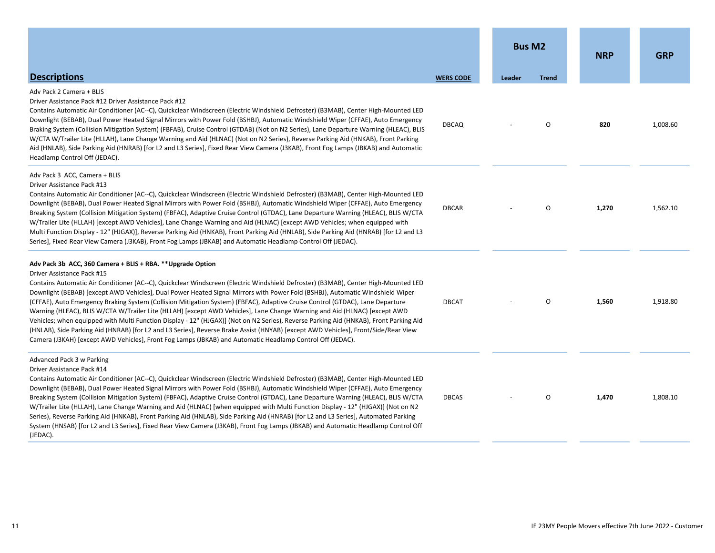|                                                                                                                                                                                                                                                                                                                                                                                                                                                                                                                                                                                                                                                                                                                                                                                                                                                                                                                                                                                                                           |                  | <b>Bus M2</b> |              | <b>NRP</b> | <b>GRP</b> |
|---------------------------------------------------------------------------------------------------------------------------------------------------------------------------------------------------------------------------------------------------------------------------------------------------------------------------------------------------------------------------------------------------------------------------------------------------------------------------------------------------------------------------------------------------------------------------------------------------------------------------------------------------------------------------------------------------------------------------------------------------------------------------------------------------------------------------------------------------------------------------------------------------------------------------------------------------------------------------------------------------------------------------|------------------|---------------|--------------|------------|------------|
| <b>Descriptions</b>                                                                                                                                                                                                                                                                                                                                                                                                                                                                                                                                                                                                                                                                                                                                                                                                                                                                                                                                                                                                       | <b>WERS CODE</b> | Leader        | <b>Trend</b> |            |            |
| Adv Pack 2 Camera + BLIS<br>Driver Assistance Pack #12 Driver Assistance Pack #12<br>Contains Automatic Air Conditioner (AC--C), Quickclear Windscreen (Electric Windshield Defroster) (B3MAB), Center High-Mounted LED<br>Downlight (BEBAB), Dual Power Heated Signal Mirrors with Power Fold (BSHBJ), Automatic Windshield Wiper (CFFAE), Auto Emergency<br>Braking System (Collision Mitigation System) (FBFAB), Cruise Control (GTDAB) (Not on N2 Series), Lane Departure Warning (HLEAC), BLIS<br>W/CTA W/Trailer Lite (HLLAH), Lane Change Warning and Aid (HLNAC) (Not on N2 Series), Reverse Parking Aid (HNKAB), Front Parking<br>Aid (HNLAB), Side Parking Aid (HNRAB) [for L2 and L3 Series], Fixed Rear View Camera (J3KAB), Front Fog Lamps (JBKAB) and Automatic<br>Headlamp Control Off (JEDAC).                                                                                                                                                                                                           | <b>DBCAQ</b>     |               | $\Omega$     | 820        | 1,008.60   |
| Adv Pack 3 ACC, Camera + BLIS<br>Driver Assistance Pack #13<br>Contains Automatic Air Conditioner (AC--C), Quickclear Windscreen (Electric Windshield Defroster) (B3MAB), Center High-Mounted LED<br>Downlight (BEBAB), Dual Power Heated Signal Mirrors with Power Fold (BSHBJ), Automatic Windshield Wiper (CFFAE), Auto Emergency<br>Breaking System (Collision Mitigation System) (FBFAC), Adaptive Cruise Control (GTDAC), Lane Departure Warning (HLEAC), BLIS W/CTA<br>W/Trailer Lite (HLLAH) [except AWD Vehicles], Lane Change Warning and Aid (HLNAC) [except AWD Vehicles; when equipped with<br>Multi Function Display - 12" (HJGAX)], Reverse Parking Aid (HNKAB), Front Parking Aid (HNLAB), Side Parking Aid (HNRAB) [for L2 and L3<br>Series], Fixed Rear View Camera (J3KAB), Front Fog Lamps (JBKAB) and Automatic Headlamp Control Off (JEDAC).                                                                                                                                                        | <b>DBCAR</b>     |               | $\Omega$     | 1,270      | 1,562.10   |
| Adv Pack 3b ACC, 360 Camera + BLIS + RBA. **Upgrade Option<br>Driver Assistance Pack #15<br>Contains Automatic Air Conditioner (AC--C), Quickclear Windscreen (Electric Windshield Defroster) (B3MAB), Center High-Mounted LED<br>Downlight (BEBAB) [except AWD Vehicles], Dual Power Heated Signal Mirrors with Power Fold (BSHBJ), Automatic Windshield Wiper<br>(CFFAE), Auto Emergency Braking System (Collision Mitigation System) (FBFAC), Adaptive Cruise Control (GTDAC), Lane Departure<br>Warning (HLEAC), BLIS W/CTA W/Trailer Lite (HLLAH) [except AWD Vehicles], Lane Change Warning and Aid (HLNAC) [except AWD<br>Vehicles; when equipped with Multi Function Display - 12" (HJGAX)] (Not on N2 Series), Reverse Parking Aid (HNKAB), Front Parking Aid<br>(HNLAB), Side Parking Aid (HNRAB) [for L2 and L3 Series], Reverse Brake Assist (HNYAB) [except AWD Vehicles], Front/Side/Rear View<br>Camera (J3KAH) [except AWD Vehicles], Front Fog Lamps (JBKAB) and Automatic Headlamp Control Off (JEDAC). | <b>DBCAT</b>     |               | 0            | 1,560      | 1,918.80   |
| Advanced Pack 3 w Parking<br>Driver Assistance Pack #14<br>Contains Automatic Air Conditioner (AC--C), Quickclear Windscreen (Electric Windshield Defroster) (B3MAB), Center High-Mounted LED<br>Downlight (BEBAB), Dual Power Heated Signal Mirrors with Power Fold (BSHBJ), Automatic Windshield Wiper (CFFAE), Auto Emergency<br>Breaking System (Collision Mitigation System) (FBFAC), Adaptive Cruise Control (GTDAC), Lane Departure Warning (HLEAC), BLIS W/CTA<br>W/Trailer Lite (HLLAH), Lane Change Warning and Aid (HLNAC) [when equipped with Multi Function Display - 12" (HJGAX)] (Not on N2<br>Series), Reverse Parking Aid (HNKAB), Front Parking Aid (HNLAB), Side Parking Aid (HNRAB) [for L2 and L3 Series], Automated Parking<br>System (HNSAB) [for L2 and L3 Series], Fixed Rear View Camera (J3KAB), Front Fog Lamps (JBKAB) and Automatic Headlamp Control Off<br>(JEDAC).                                                                                                                        | <b>DBCAS</b>     |               | $\circ$      | 1,470      | 1,808.10   |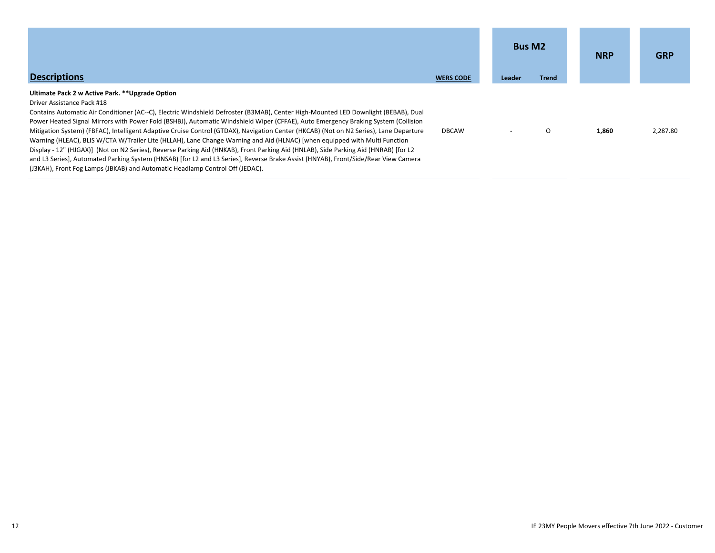| <b>Descriptions</b>                                                                                                                                                                                                                                                                                                                                                                                                                                                                                                                                                                                                                                                                                                                                                                                                                                                                                                                                                                           | <b>WERS CODE</b> | <b>Bus M2</b><br>Leader | <b>Trend</b> | <b>NRP</b> | <b>GRP</b> |
|-----------------------------------------------------------------------------------------------------------------------------------------------------------------------------------------------------------------------------------------------------------------------------------------------------------------------------------------------------------------------------------------------------------------------------------------------------------------------------------------------------------------------------------------------------------------------------------------------------------------------------------------------------------------------------------------------------------------------------------------------------------------------------------------------------------------------------------------------------------------------------------------------------------------------------------------------------------------------------------------------|------------------|-------------------------|--------------|------------|------------|
| Ultimate Pack 2 w Active Park. ** Upgrade Option<br>Driver Assistance Pack #18<br>Contains Automatic Air Conditioner (AC--C), Electric Windshield Defroster (B3MAB), Center High-Mounted LED Downlight (BEBAB), Dual<br>Power Heated Signal Mirrors with Power Fold (BSHBJ), Automatic Windshield Wiper (CFFAE), Auto Emergency Braking System (Collision<br>Mitigation System) (FBFAC), Intelligent Adaptive Cruise Control (GTDAX), Navigation Center (HKCAB) (Not on N2 Series), Lane Departure<br>Warning (HLEAC), BLIS W/CTA W/Trailer Lite (HLLAH), Lane Change Warning and Aid (HLNAC) [when equipped with Multi Function<br>Display - 12" (HJGAX)] (Not on N2 Series), Reverse Parking Aid (HNKAB), Front Parking Aid (HNLAB), Side Parking Aid (HNRAB) [for L2<br>and L3 Series], Automated Parking System (HNSAB) [for L2 and L3 Series], Reverse Brake Assist (HNYAB), Front/Side/Rear View Camera<br>(J3KAH), Front Fog Lamps (JBKAB) and Automatic Headlamp Control Off (JEDAC). | <b>DBCAW</b>     |                         | $\Omega$     | 1.860      | 2,287.80   |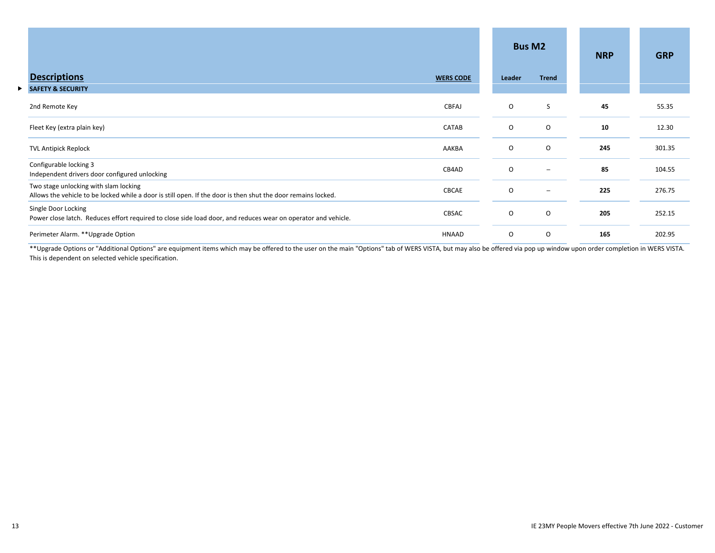|    |                                                                                                                                                                 |          | <b>Bus M2</b>            | <b>NRP</b> | <b>GRP</b> |
|----|-----------------------------------------------------------------------------------------------------------------------------------------------------------------|----------|--------------------------|------------|------------|
|    | <b>Descriptions</b><br><b>WERS CODE</b>                                                                                                                         | Leader   | <b>Trend</b>             |            |            |
| ▶. | <b>SAFETY &amp; SECURITY</b>                                                                                                                                    |          |                          |            |            |
|    | CBFAJ<br>2nd Remote Key                                                                                                                                         | $\circ$  | S                        | 45         | 55.35      |
|    | CATAB<br>Fleet Key (extra plain key)                                                                                                                            | $\circ$  | O                        | 10         | 12.30      |
|    | <b>TVL Antipick Replock</b><br>AAKBA                                                                                                                            | $\circ$  | 0                        | 245        | 301.35     |
|    | Configurable locking 3<br>CB4AD<br>Independent drivers door configured unlocking                                                                                | $\Omega$ | $\overline{\phantom{a}}$ | 85         | 104.55     |
|    | Two stage unlocking with slam locking<br>CBCAE<br>Allows the vehicle to be locked while a door is still open. If the door is then shut the door remains locked. | $\circ$  | $\qquad \qquad -$        | 225        | 276.75     |
|    | Single Door Locking<br>CBSAC<br>Power close latch. Reduces effort required to close side load door, and reduces wear on operator and vehicle.                   | $\circ$  | 0                        | 205        | 252.15     |
|    | Perimeter Alarm. ** Upgrade Option<br>HNAAD                                                                                                                     | $\circ$  | 0                        | 165        | 202.95     |

\*\*Upgrade Options or "Additional Options" are equipment items which may be offered to the user on the main "Options" tab of WERS VISTA, but may also be offered via pop up window upon order completion in WERS VISTA. This is dependent on selected vehicle specification.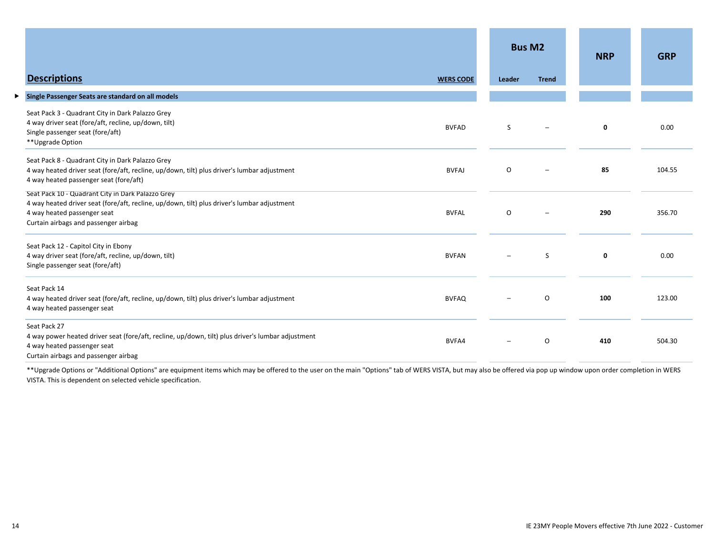|                                                                                                                                                                                                                         |                  |                          | <b>Bus M2</b> | <b>NRP</b>  | <b>GRP</b> |
|-------------------------------------------------------------------------------------------------------------------------------------------------------------------------------------------------------------------------|------------------|--------------------------|---------------|-------------|------------|
| <b>Descriptions</b>                                                                                                                                                                                                     | <b>WERS CODE</b> | Leader                   | <b>Trend</b>  |             |            |
| Single Passenger Seats are standard on all models<br>▶                                                                                                                                                                  |                  |                          |               |             |            |
| Seat Pack 3 - Quadrant City in Dark Palazzo Grey<br>4 way driver seat (fore/aft, recline, up/down, tilt)<br>Single passenger seat (fore/aft)<br>**Upgrade Option                                                        | <b>BVFAD</b>     | S                        |               | 0           | 0.00       |
| Seat Pack 8 - Quadrant City in Dark Palazzo Grey<br>4 way heated driver seat (fore/aft, recline, up/down, tilt) plus driver's lumbar adjustment<br>4 way heated passenger seat (fore/aft)                               | <b>BVFAJ</b>     | O                        |               | 85          | 104.55     |
| Seat Pack 10 - Quadrant City in Dark Palazzo Grey<br>4 way heated driver seat (fore/aft, recline, up/down, tilt) plus driver's lumbar adjustment<br>4 way heated passenger seat<br>Curtain airbags and passenger airbag | <b>BVFAL</b>     | $\circ$                  |               | 290         | 356.70     |
| Seat Pack 12 - Capitol City in Ebony<br>4 way driver seat (fore/aft, recline, up/down, tilt)<br>Single passenger seat (fore/aft)                                                                                        | <b>BVFAN</b>     |                          | <sub>S</sub>  | $\mathbf 0$ | 0.00       |
| Seat Pack 14<br>4 way heated driver seat (fore/aft, recline, up/down, tilt) plus driver's lumbar adjustment<br>4 way heated passenger seat                                                                              | <b>BVFAQ</b>     |                          | $\circ$       | 100         | 123.00     |
| Seat Pack 27<br>4 way power heated driver seat (fore/aft, recline, up/down, tilt) plus driver's lumbar adjustment<br>4 way heated passenger seat<br>Curtain airbags and passenger airbag                                | BVFA4            | $\overline{\phantom{m}}$ | O             | 410         | 504.30     |

\*\*Upgrade Options or "Additional Options" are equipment items which may be offered to the user on the main "Options" tab of WERS VISTA, but may also be offered via pop up window upon order completion in WERS VISTA. This is dependent on selected vehicle specification.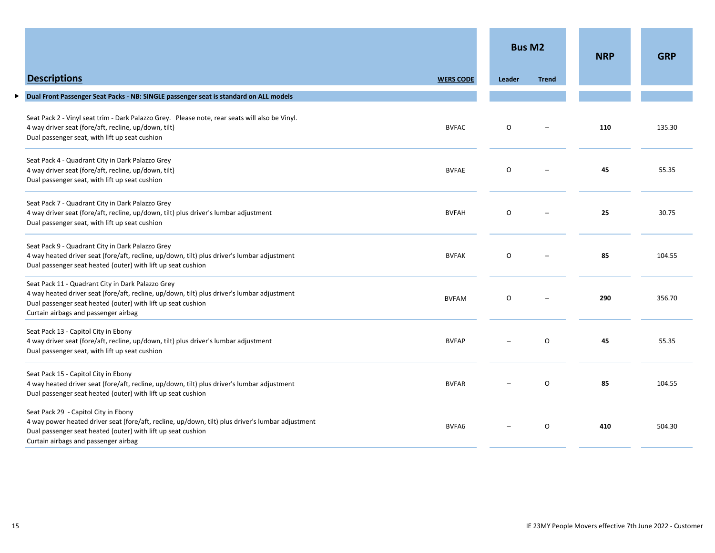|                                                                                                                                                                                                                                                          |                  | <b>Bus M2</b>            |              | <b>NRP</b> | <b>GRP</b> |
|----------------------------------------------------------------------------------------------------------------------------------------------------------------------------------------------------------------------------------------------------------|------------------|--------------------------|--------------|------------|------------|
| <b>Descriptions</b>                                                                                                                                                                                                                                      | <b>WERS CODE</b> | Leader                   | <b>Trend</b> |            |            |
| Dual Front Passenger Seat Packs - NB: SINGLE passenger seat is standard on ALL models<br>▶                                                                                                                                                               |                  |                          |              |            |            |
| Seat Pack 2 - Vinyl seat trim - Dark Palazzo Grey. Please note, rear seats will also be Vinyl.<br>4 way driver seat (fore/aft, recline, up/down, tilt)<br>Dual passenger seat, with lift up seat cushion                                                 | <b>BVFAC</b>     | O                        |              | 110        | 135.30     |
| Seat Pack 4 - Quadrant City in Dark Palazzo Grey<br>4 way driver seat (fore/aft, recline, up/down, tilt)<br>Dual passenger seat, with lift up seat cushion                                                                                               | <b>BVFAE</b>     | O                        |              | 45         | 55.35      |
| Seat Pack 7 - Quadrant City in Dark Palazzo Grey<br>4 way driver seat (fore/aft, recline, up/down, tilt) plus driver's lumbar adjustment<br>Dual passenger seat, with lift up seat cushion                                                               | <b>BVFAH</b>     | O                        |              | 25         | 30.75      |
| Seat Pack 9 - Quadrant City in Dark Palazzo Grey<br>4 way heated driver seat (fore/aft, recline, up/down, tilt) plus driver's lumbar adjustment<br>Dual passenger seat heated (outer) with lift up seat cushion                                          | <b>BVFAK</b>     | $\circ$                  |              | 85         | 104.55     |
| Seat Pack 11 - Quadrant City in Dark Palazzo Grey<br>4 way heated driver seat (fore/aft, recline, up/down, tilt) plus driver's lumbar adjustment<br>Dual passenger seat heated (outer) with lift up seat cushion<br>Curtain airbags and passenger airbag | <b>BVFAM</b>     | O                        |              | 290        | 356.70     |
| Seat Pack 13 - Capitol City in Ebony<br>4 way driver seat (fore/aft, recline, up/down, tilt) plus driver's lumbar adjustment<br>Dual passenger seat, with lift up seat cushion                                                                           | <b>BVFAP</b>     |                          | $\circ$      | 45         | 55.35      |
| Seat Pack 15 - Capitol City in Ebony<br>4 way heated driver seat (fore/aft, recline, up/down, tilt) plus driver's lumbar adjustment<br>Dual passenger seat heated (outer) with lift up seat cushion                                                      | <b>BVFAR</b>     |                          | 0            | 85         | 104.55     |
| Seat Pack 29 - Capitol City in Ebony<br>4 way power heated driver seat (fore/aft, recline, up/down, tilt) plus driver's lumbar adjustment<br>Dual passenger seat heated (outer) with lift up seat cushion<br>Curtain airbags and passenger airbag        | BVFA6            | $\overline{\phantom{0}}$ | $\circ$      | 410        | 504.30     |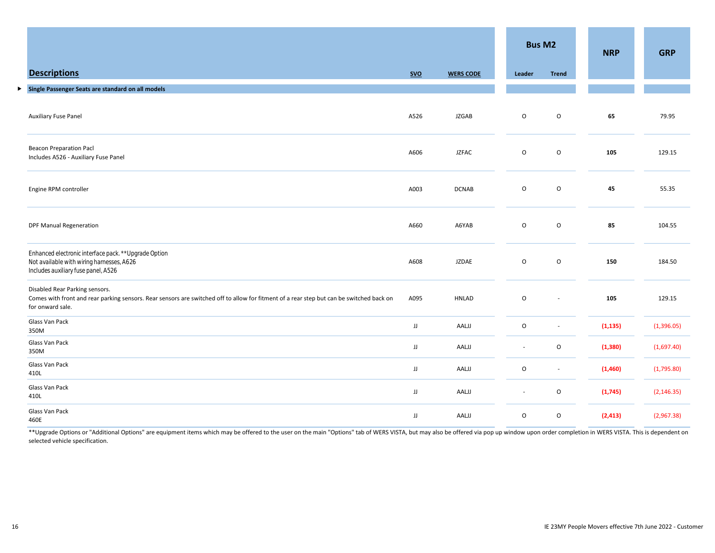|                                                                                                                                                                                                |      |                  |                          |                          | <b>NRP</b> | <b>GRP</b>  |
|------------------------------------------------------------------------------------------------------------------------------------------------------------------------------------------------|------|------------------|--------------------------|--------------------------|------------|-------------|
| <b>Descriptions</b>                                                                                                                                                                            | SVO  | <b>WERS CODE</b> | Leader                   | <b>Trend</b>             |            |             |
| Single Passenger Seats are standard on all models<br>▶                                                                                                                                         |      |                  |                          |                          |            |             |
| <b>Auxiliary Fuse Panel</b>                                                                                                                                                                    | A526 | <b>JZGAB</b>     | $\mathsf O$              | $\circ$                  | 65         | 79.95       |
| <b>Beacon Preparation Pacl</b><br>Includes A526 - Auxiliary Fuse Panel                                                                                                                         | A606 | <b>JZFAC</b>     | $\mathsf O$              | $\mathsf O$              | 105        | 129.15      |
| Engine RPM controller                                                                                                                                                                          | A003 | <b>DCNAB</b>     | $\mathsf O$              | $\mathsf O$              | 45         | 55.35       |
| <b>DPF Manual Regeneration</b>                                                                                                                                                                 | A660 | A6YAB            | $\mathsf O$              | $\mathsf O$              | 85         | 104.55      |
| Enhanced electronic interface pack. ** Upgrade Option<br>Not available with wiring harnesses, A626<br>Includes auxiliary fuse panel, A526                                                      | A608 | <b>JZDAE</b>     | $\circ$                  | $\mathsf O$              | 150        | 184.50      |
| Disabled Rear Parking sensors.<br>Comes with front and rear parking sensors. Rear sensors are switched off to allow for fitment of a rear step but can be switched back on<br>for onward sale. | A095 | <b>HNLAD</b>     | $\mathsf O$              | $\sim$                   | 105        | 129.15      |
| Glass Van Pack<br>350M                                                                                                                                                                         | JJ   | AALJJ            | $\mathsf O$              | $\overline{\phantom{a}}$ | (1, 135)   | (1,396.05)  |
| Glass Van Pack<br>350M                                                                                                                                                                         | JJ   | AALJJ            | $\overline{\phantom{a}}$ | $\circ$                  | (1, 380)   | (1,697.40)  |
| Glass Van Pack<br>410L                                                                                                                                                                         | JJ   | AALJJ            | O                        | $\overline{\phantom{a}}$ | (1,460)    | (1,795.80)  |
| Glass Van Pack<br>410L                                                                                                                                                                         | JJ   | AALJJ            | $\sim$                   | $\circ$                  | (1,745)    | (2, 146.35) |
| Glass Van Pack<br>460E                                                                                                                                                                         | JJ   | AALJJ            | $\mathsf O$              | $\circ$                  | (2, 413)   | (2,967.38)  |

\*\* Upgrade Options or "Additional Options" are equipment items which may be offered to the user on the main "Options" tab of WERS VISTA, but may also be offered via pop up window upon order completion in WERS VISTA. This i selected vehicle specification.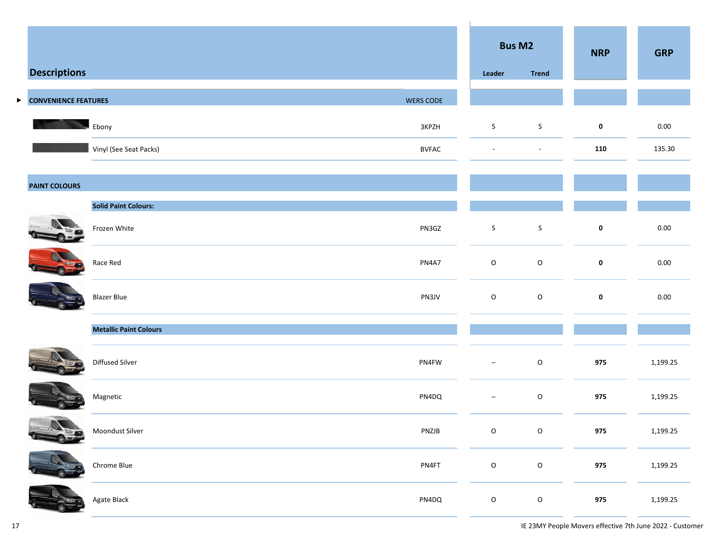|   |                             |                                        | <b>Bus M2</b>            |               | <b>NRP</b>  | <b>GRP</b> |
|---|-----------------------------|----------------------------------------|--------------------------|---------------|-------------|------------|
|   | <b>Descriptions</b>         |                                        | Leader                   | <b>Trend</b>  |             |            |
| ▶ | <b>CONVENIENCE FEATURES</b> | <b>WERS CODE</b>                       |                          |               |             |            |
|   |                             | Ebony<br>3KPZH                         | S.                       | S             | $\mathbf 0$ | 0.00       |
|   |                             | Vinyl (See Seat Packs)<br><b>BVFAC</b> | $\overline{\phantom{a}}$ | $\sim$        | 110         | 135.30     |
|   | <b>PAINT COLOURS</b>        |                                        |                          |               |             |            |
|   |                             | <b>Solid Paint Colours:</b>            |                          |               |             |            |
|   |                             | Frozen White<br>PN3GZ                  | $\mathsf{S}$             | $\sf S$       | $\pmb{0}$   | $0.00\,$   |
|   |                             | Race Red<br>PN4A7                      | $\mathsf O$              | ${\mathsf o}$ | $\pmb{0}$   | $0.00\,$   |
|   |                             | PN3JV<br><b>Blazer Blue</b>            | $\mathsf O$              | $\mathsf O$   | $\mathbf 0$ | 0.00       |
|   |                             | <b>Metallic Paint Colours</b>          |                          |               |             |            |
|   |                             | Diffused Silver<br>PN4FW               | $\overline{\phantom{a}}$ | $\mathsf O$   | 975         | 1,199.25   |
|   |                             | Magnetic<br>PN4DQ                      | $\overline{\phantom{m}}$ | $\mathsf O$   | 975         | 1,199.25   |
|   | $\mathbf{N}$<br>1.44        | Moondust Silver<br>PNZJB               | $\mathsf O$              | $\mathsf{O}$  | 975         | 1,199.25   |
|   |                             | Chrome Blue<br>PN4FT                   | $\mathsf{o}$             | $\mathsf{o}$  | 975         | 1,199.25   |
|   |                             | Agate Black<br>PN4DQ                   | $\mathsf O$              | $\mathsf O$   | 975         | 1,199.25   |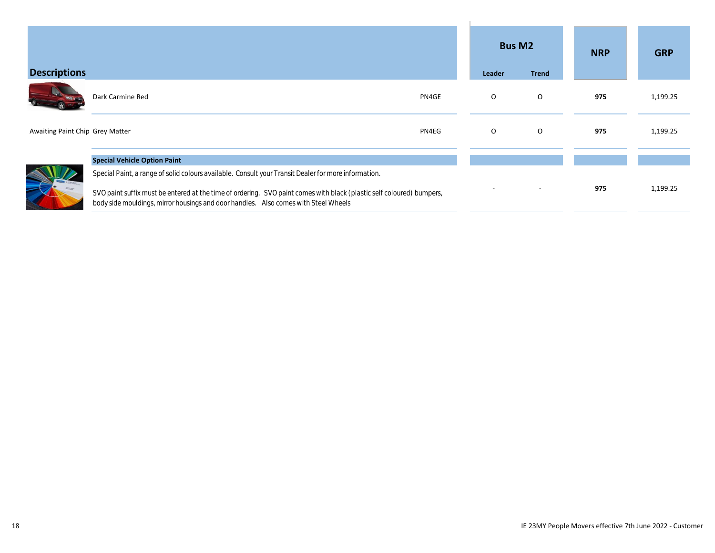| <b>Descriptions</b>             |                                                                                                                                                                                                              | Leader  | <b>Bus M2</b><br><b>Trend</b> | <b>NRP</b> | <b>GRP</b> |
|---------------------------------|--------------------------------------------------------------------------------------------------------------------------------------------------------------------------------------------------------------|---------|-------------------------------|------------|------------|
|                                 | Dark Carmine Red<br>PN4GE                                                                                                                                                                                    | O       | $\circ$                       | 975        | 1,199.25   |
| Awaiting Paint Chip Grey Matter | PN4EG                                                                                                                                                                                                        | $\circ$ | $\circ$                       | 975        | 1,199.25   |
|                                 | <b>Special Vehicle Option Paint</b>                                                                                                                                                                          |         |                               |            |            |
|                                 | Special Paint, a range of solid colours available. Consult your Transit Dealer for more information.                                                                                                         |         |                               |            |            |
|                                 | SVO paint suffix must be entered at the time of ordering. SVO paint comes with black (plastic self coloured) bumpers,<br>body side mouldings, mirror housings and door handles. Also comes with Steel Wheels |         |                               | 975        | 1,199.25   |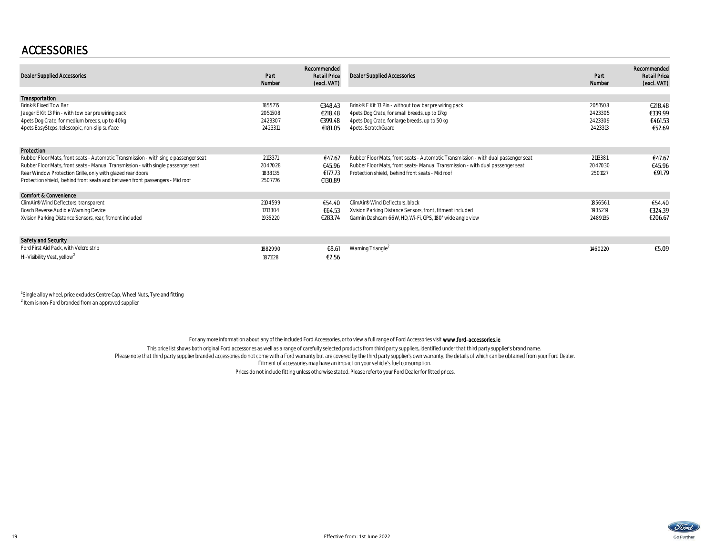### ACCESSORIES

| <b>Dealer Supplied Accessories</b>                                                                                                                                                                                                                                                                                       | Part<br>Number                           | Recommended<br><b>Retail Price</b><br>(excl. VAT) | <b>Dealer Supplied Accessories</b>                                                                                                                                                                                      | Part<br>Number                           | Recommended<br><b>Retail Price</b><br>(excl. VAT) |
|--------------------------------------------------------------------------------------------------------------------------------------------------------------------------------------------------------------------------------------------------------------------------------------------------------------------------|------------------------------------------|---------------------------------------------------|-------------------------------------------------------------------------------------------------------------------------------------------------------------------------------------------------------------------------|------------------------------------------|---------------------------------------------------|
| Transportation                                                                                                                                                                                                                                                                                                           |                                          |                                                   |                                                                                                                                                                                                                         |                                          |                                                   |
| Brink® Fixed Tow Bar<br>Jaeger E Kit 13 Pin - with tow bar pre wiring pack<br>4 pets Dog Crate, for medium breeds, up to 40kg<br>4 pets EasySteps, telescopic, non-slip surface                                                                                                                                          | 1855715<br>2051508<br>2423307<br>2423311 | €348.43<br>€218.48<br>€399.48<br>€181.05          | Brink® E Kit 13 Pin - without tow bar pre wiring pack<br>4 pets Dog Crate, for small breeds, up to 17 kg<br>4 pets Dog Crate, for large breeds, up to 50kg<br>4 pets, ScratchGuard                                      | 2051508<br>2423305<br>2423309<br>2423313 | €218.48<br>€339.99<br>€461.53<br>€52.69           |
| Protection                                                                                                                                                                                                                                                                                                               |                                          |                                                   |                                                                                                                                                                                                                         |                                          |                                                   |
| Rubber Floor Mats, front seats - Automatic Transmission - with single passenger seat<br>Rubber Floor Mats, front seats - Manual Transmission - with single passenger seat<br>Rear Window Protection Grille, only with glazed rear doors<br>Protection shield, behind front seats and between front passengers - Mid roof | 2113371<br>2047028<br>1838135<br>2507776 | €47.67<br>€45.96<br>€177.73<br>€130.89            | Rubber Floor Mats, front seats - Automatic Transmission - with dual passenger seat<br>Rubber Floor Mats, front seats-Manual Transmission - with dual passenger seat<br>Protection shield, behind front seats - Mid roof | 2113381<br>2047030<br>2501127            | €47.67<br>€45.96<br>€91.79                        |
| Comfort & Convenience                                                                                                                                                                                                                                                                                                    |                                          |                                                   |                                                                                                                                                                                                                         |                                          |                                                   |
| ClimAir® Wind Deflectors, transparent<br>Bosch Reverse Audible Warning Device<br>Xvision Parking Distance Sensors, rear, fitment included                                                                                                                                                                                | 2104599<br>1713304<br>1935220            | €54.40<br>€64.53<br>€283.74                       | ClimAir <sup>®</sup> Wind Deflectors, black<br>Xvision Parking Distance Sensors, front, fitment included<br>Garmin Dashcam 66W, HD, Wi-Fi, GPS, 180' wide angle view                                                    | 1856561<br>1935219<br>2489135            | €54.40<br>€324.39<br>€206.67                      |
| Safety and Security                                                                                                                                                                                                                                                                                                      |                                          |                                                   |                                                                                                                                                                                                                         |                                          |                                                   |
| Ford First Aid Pack, with Velcro strip<br>Hi-Visibility Vest, yellow <sup>2</sup>                                                                                                                                                                                                                                        | 1882990<br>1871128                       | €8.61<br>€2.56                                    | Warning Triangle <sup>2</sup>                                                                                                                                                                                           | 1460220                                  | €5.09                                             |

<sup>1</sup> Single alloy wheel, price excludes Centre Cap, Wheel Nuts, Tyre and fitting

<sup>2</sup> Item is non-Ford branded from an approved supplier

For any more information about any of the included Ford Accessories, or to view a full range of Ford Accessories visit www.ford-accessories.le

This price list shows both original Ford accessories as well as a range of carefully selected products from third party suppliers, identified under that third party supplier's brand name.<br>Please note that third party suppl Fitment of accessories may have an impact on your vehicle's fuel consumption.

Prices do not include fitting unless otherwise stated. Please refer to your Ford Dealer for fitted prices.